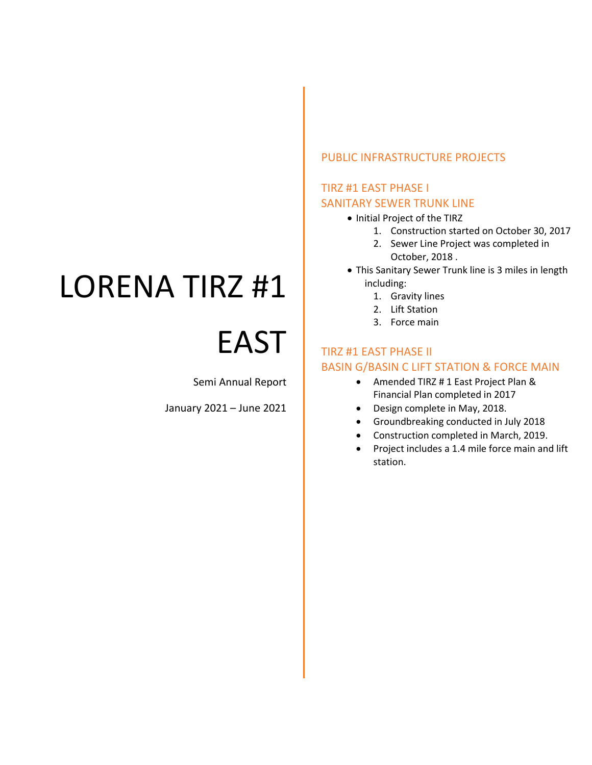# LORENA TIRZ #1

# EAST

Semi Annual Report

January 2021 – June 2021

## PUBLIC INFRASTRUCTURE PROJECTS

## TIRZ #1 EAST PHASE I SANITARY SEWER TRUNK LINE

- Initial Project of the TIRZ
	- 1. Construction started on October 30, 2017
	- 2. Sewer Line Project was completed in October, 2018 .
- This Sanitary Sewer Trunk line is 3 miles in length including:
	- 1. Gravity lines
	- 2. Lift Station
	- 3. Force main

## TIRZ #1 EAST PHASE II BASIN G/BASIN C LIFT STATION & FORCE MAIN

- Amended TIRZ # 1 East Project Plan & Financial Plan completed in 2017
- Design complete in May, 2018.
- Groundbreaking conducted in July 2018
- Construction completed in March, 2019.
- Project includes a 1.4 mile force main and lift station.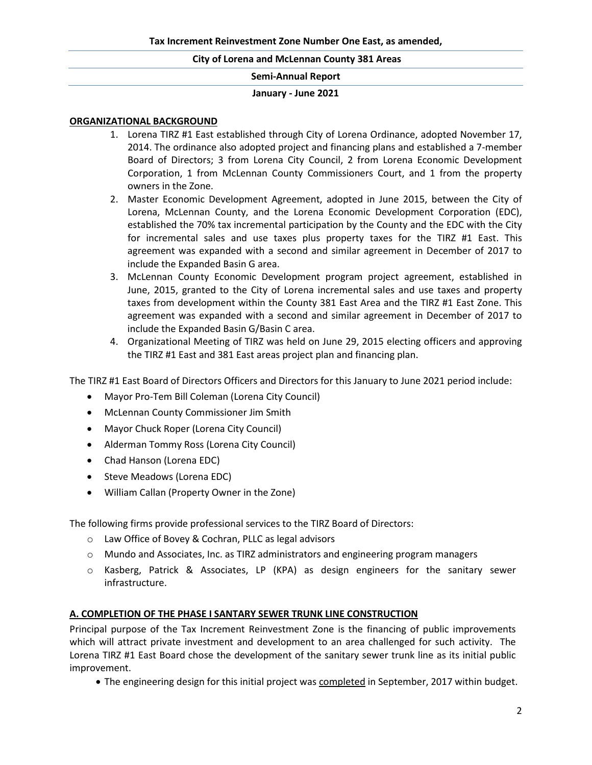#### **January - June 2021**

#### **ORGANIZATIONAL BACKGROUND**

- 1. Lorena TIRZ #1 East established through City of Lorena Ordinance, adopted November 17, 2014. The ordinance also adopted project and financing plans and established a 7-member Board of Directors; 3 from Lorena City Council, 2 from Lorena Economic Development Corporation, 1 from McLennan County Commissioners Court, and 1 from the property owners in the Zone.
- 2. Master Economic Development Agreement, adopted in June 2015, between the City of Lorena, McLennan County, and the Lorena Economic Development Corporation (EDC), established the 70% tax incremental participation by the County and the EDC with the City for incremental sales and use taxes plus property taxes for the TIRZ #1 East. This agreement was expanded with a second and similar agreement in December of 2017 to include the Expanded Basin G area.
- 3. McLennan County Economic Development program project agreement, established in June, 2015, granted to the City of Lorena incremental sales and use taxes and property taxes from development within the County 381 East Area and the TIRZ #1 East Zone. This agreement was expanded with a second and similar agreement in December of 2017 to include the Expanded Basin G/Basin C area.
- 4. Organizational Meeting of TIRZ was held on June 29, 2015 electing officers and approving the TIRZ #1 East and 381 East areas project plan and financing plan.

The TIRZ #1 East Board of Directors Officers and Directors for this January to June 2021 period include:

- Mayor Pro-Tem Bill Coleman (Lorena City Council)
- McLennan County Commissioner Jim Smith
- Mayor Chuck Roper (Lorena City Council)
- Alderman Tommy Ross (Lorena City Council)
- Chad Hanson (Lorena EDC)
- Steve Meadows (Lorena EDC)
- William Callan (Property Owner in the Zone)

The following firms provide professional services to the TIRZ Board of Directors:

- o Law Office of Bovey & Cochran, PLLC as legal advisors
- $\circ$  Mundo and Associates, Inc. as TIRZ administrators and engineering program managers
- o Kasberg, Patrick & Associates, LP (KPA) as design engineers for the sanitary sewer infrastructure.

### **A. COMPLETION OF THE PHASE I SANTARY SEWER TRUNK LINE CONSTRUCTION**

Principal purpose of the Tax Increment Reinvestment Zone is the financing of public improvements which will attract private investment and development to an area challenged for such activity. The Lorena TIRZ #1 East Board chose the development of the sanitary sewer trunk line as its initial public improvement.

• The engineering design for this initial project was completed in September, 2017 within budget.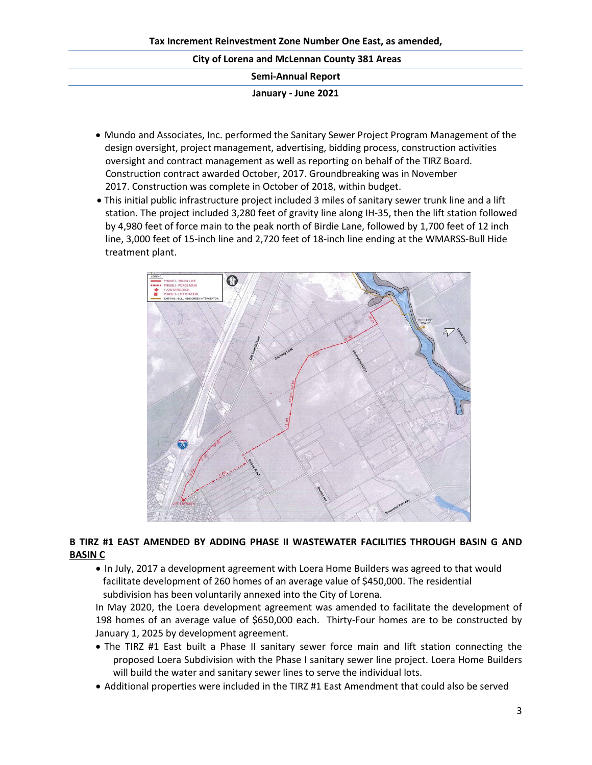| <b>City of Lorena and McLennan County 381 Areas</b> |  |  |  |  |  |  |
|-----------------------------------------------------|--|--|--|--|--|--|
| <b>Semi-Annual Report</b>                           |  |  |  |  |  |  |
| January - June 2021                                 |  |  |  |  |  |  |

- Mundo and Associates, Inc. performed the Sanitary Sewer Project Program Management of the design oversight, project management, advertising, bidding process, construction activities oversight and contract management as well as reporting on behalf of the TIRZ Board. Construction contract awarded October, 2017. Groundbreaking was in November 2017. Construction was complete in October of 2018, within budget.
- This initial public infrastructure project included 3 miles of sanitary sewer trunk line and a lift station. The project included 3,280 feet of gravity line along IH-35, then the lift station followed by 4,980 feet of force main to the peak north of Birdie Lane, followed by 1,700 feet of 12 inch line, 3,000 feet of 15-inch line and 2,720 feet of 18-inch line ending at the WMARSS-Bull Hide treatment plant.



## **B TIRZ #1 EAST AMENDED BY ADDING PHASE II WASTEWATER FACILITIES THROUGH BASIN G AND BASIN C**

• In July, 2017 a development agreement with Loera Home Builders was agreed to that would facilitate development of 260 homes of an average value of \$450,000. The residential subdivision has been voluntarily annexed into the City of Lorena.

In May 2020, the Loera development agreement was amended to facilitate the development of 198 homes of an average value of \$650,000 each. Thirty-Four homes are to be constructed by January 1, 2025 by development agreement.

- The TIRZ #1 East built a Phase II sanitary sewer force main and lift station connecting the proposed Loera Subdivision with the Phase I sanitary sewer line project. Loera Home Builders will build the water and sanitary sewer lines to serve the individual lots.
- Additional properties were included in the TIRZ #1 East Amendment that could also be served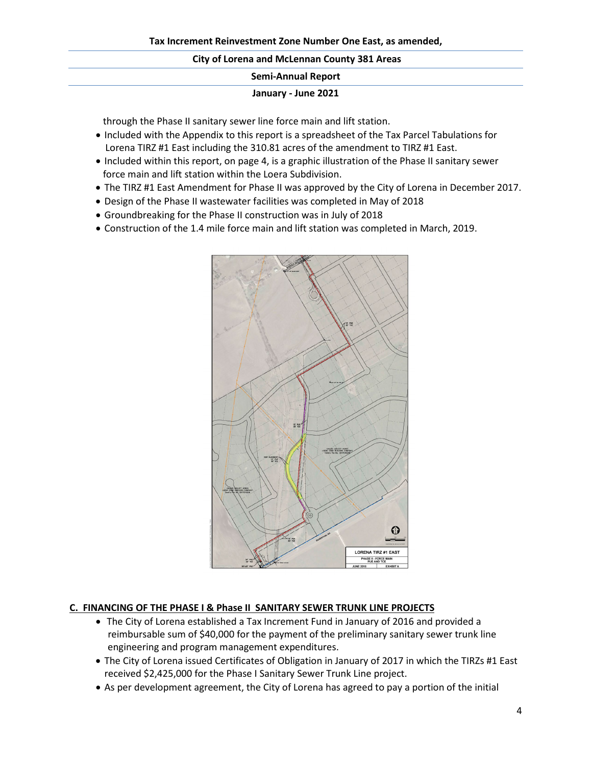#### **Semi-Annual Report**

#### **January - June 2021**

through the Phase II sanitary sewer line force main and lift station.

- Included with the Appendix to this report is a spreadsheet of the Tax Parcel Tabulations for Lorena TIRZ #1 East including the 310.81 acres of the amendment to TIRZ #1 East.
- Included within this report, on page 4, is a graphic illustration of the Phase II sanitary sewer force main and lift station within the Loera Subdivision.
- The TIRZ #1 East Amendment for Phase II was approved by the City of Lorena in December 2017.
- Design of the Phase II wastewater facilities was completed in May of 2018
- Groundbreaking for the Phase II construction was in July of 2018
- Construction of the 1.4 mile force main and lift station was completed in March, 2019.



### **C. FINANCING OF THE PHASE I & Phase II SANITARY SEWER TRUNK LINE PROJECTS**

- The City of Lorena established a Tax Increment Fund in January of 2016 and provided a reimbursable sum of \$40,000 for the payment of the preliminary sanitary sewer trunk line engineering and program management expenditures.
- The City of Lorena issued Certificates of Obligation in January of 2017 in which the TIRZs #1 East received \$2,425,000 for the Phase I Sanitary Sewer Trunk Line project.
- As per development agreement, the City of Lorena has agreed to pay a portion of the initial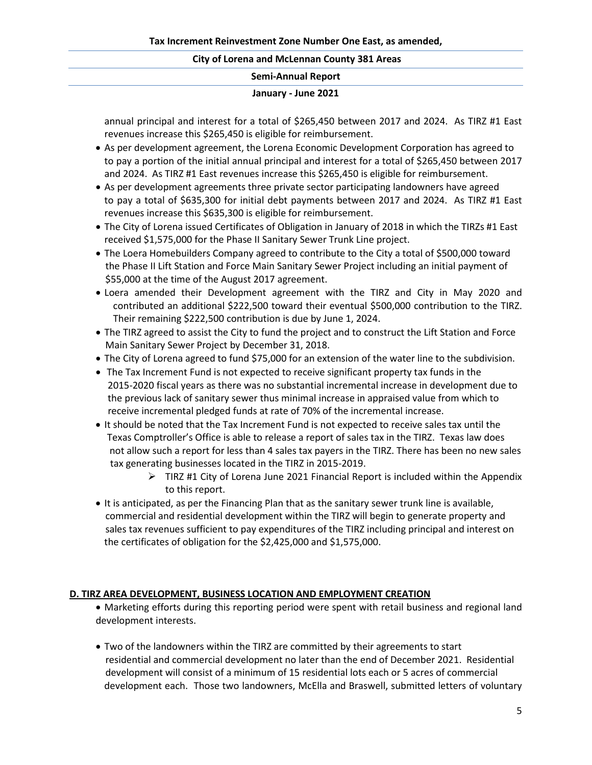| <b>Semi-Annual Report</b> |  |
|---------------------------|--|
|                           |  |

#### **January - June 2021**

annual principal and interest for a total of \$265,450 between 2017 and 2024. As TIRZ #1 East revenues increase this \$265,450 is eligible for reimbursement.

- As per development agreement, the Lorena Economic Development Corporation has agreed to to pay a portion of the initial annual principal and interest for a total of \$265,450 between 2017 and 2024. As TIRZ #1 East revenues increase this \$265,450 is eligible for reimbursement.
- As per development agreements three private sector participating landowners have agreed to pay a total of \$635,300 for initial debt payments between 2017 and 2024. As TIRZ #1 East revenues increase this \$635,300 is eligible for reimbursement.
- The City of Lorena issued Certificates of Obligation in January of 2018 in which the TIRZs #1 East received \$1,575,000 for the Phase II Sanitary Sewer Trunk Line project.
- The Loera Homebuilders Company agreed to contribute to the City a total of \$500,000 toward the Phase II Lift Station and Force Main Sanitary Sewer Project including an initial payment of \$55,000 at the time of the August 2017 agreement.
- Loera amended their Development agreement with the TIRZ and City in May 2020 and contributed an additional \$222,500 toward their eventual \$500,000 contribution to the TIRZ. Their remaining \$222,500 contribution is due by June 1, 2024.
- The TIRZ agreed to assist the City to fund the project and to construct the Lift Station and Force Main Sanitary Sewer Project by December 31, 2018.
- The City of Lorena agreed to fund \$75,000 for an extension of the water line to the subdivision.
- The Tax Increment Fund is not expected to receive significant property tax funds in the 2015-2020 fiscal years as there was no substantial incremental increase in development due to the previous lack of sanitary sewer thus minimal increase in appraised value from which to receive incremental pledged funds at rate of 70% of the incremental increase.
- It should be noted that the Tax Increment Fund is not expected to receive sales tax until the Texas Comptroller's Office is able to release a report of sales tax in the TIRZ. Texas law does not allow such a report for less than 4 sales tax payers in the TIRZ. There has been no new sales tax generating businesses located in the TIRZ in 2015-2019.
	- $\triangleright$  TIRZ #1 City of Lorena June 2021 Financial Report is included within the Appendix to this report.
- It is anticipated, as per the Financing Plan that as the sanitary sewer trunk line is available, commercial and residential development within the TIRZ will begin to generate property and sales tax revenues sufficient to pay expenditures of the TIRZ including principal and interest on the certificates of obligation for the \$2,425,000 and \$1,575,000.

### **D. TIRZ AREA DEVELOPMENT, BUSINESS LOCATION AND EMPLOYMENT CREATION**

- Marketing efforts during this reporting period were spent with retail business and regional land development interests.
- Two of the landowners within the TIRZ are committed by their agreements to start residential and commercial development no later than the end of December 2021. Residential development will consist of a minimum of 15 residential lots each or 5 acres of commercial development each. Those two landowners, McElla and Braswell, submitted letters of voluntary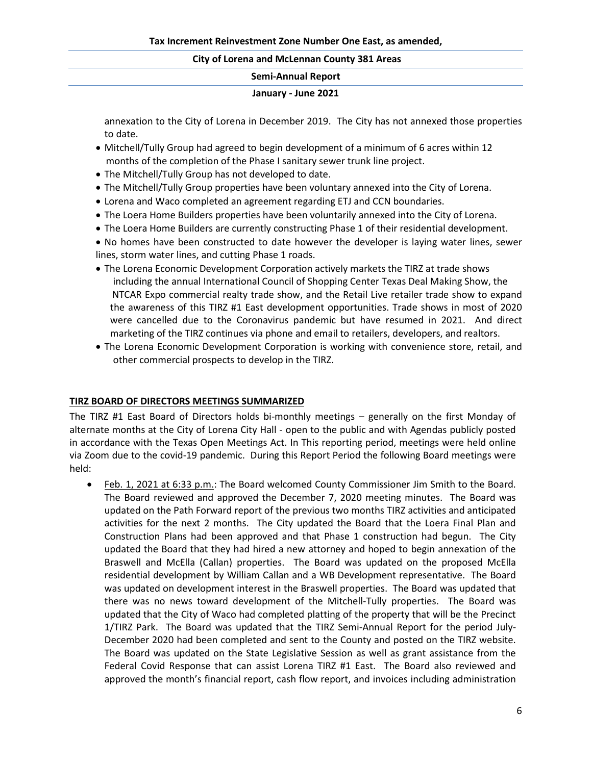### **Semi-Annual Report**

#### **January - June 2021**

annexation to the City of Lorena in December 2019. The City has not annexed those properties to date.

- Mitchell/Tully Group had agreed to begin development of a minimum of 6 acres within 12 months of the completion of the Phase I sanitary sewer trunk line project.
- The Mitchell/Tully Group has not developed to date.
- The Mitchell/Tully Group properties have been voluntary annexed into the City of Lorena.
- Lorena and Waco completed an agreement regarding ETJ and CCN boundaries.
- The Loera Home Builders properties have been voluntarily annexed into the City of Lorena.
- The Loera Home Builders are currently constructing Phase 1 of their residential development.
- No homes have been constructed to date however the developer is laying water lines, sewer lines, storm water lines, and cutting Phase 1 roads.
- The Lorena Economic Development Corporation actively markets the TIRZ at trade shows including the annual International Council of Shopping Center Texas Deal Making Show, the NTCAR Expo commercial realty trade show, and the Retail Live retailer trade show to expand the awareness of this TIRZ #1 East development opportunities. Trade shows in most of 2020 were cancelled due to the Coronavirus pandemic but have resumed in 2021. And direct marketing of the TIRZ continues via phone and email to retailers, developers, and realtors.
- The Lorena Economic Development Corporation is working with convenience store, retail, and other commercial prospects to develop in the TIRZ.

### **TIRZ BOARD OF DIRECTORS MEETINGS SUMMARIZED**

The TIRZ #1 East Board of Directors holds bi-monthly meetings – generally on the first Monday of alternate months at the City of Lorena City Hall - open to the public and with Agendas publicly posted in accordance with the Texas Open Meetings Act. In This reporting period, meetings were held online via Zoom due to the covid-19 pandemic. During this Report Period the following Board meetings were held:

• Feb. 1, 2021 at 6:33 p.m.: The Board welcomed County Commissioner Jim Smith to the Board. The Board reviewed and approved the December 7, 2020 meeting minutes. The Board was updated on the Path Forward report of the previous two months TIRZ activities and anticipated activities for the next 2 months. The City updated the Board that the Loera Final Plan and Construction Plans had been approved and that Phase 1 construction had begun. The City updated the Board that they had hired a new attorney and hoped to begin annexation of the Braswell and McElla (Callan) properties. The Board was updated on the proposed McElla residential development by William Callan and a WB Development representative. The Board was updated on development interest in the Braswell properties. The Board was updated that there was no news toward development of the Mitchell-Tully properties. The Board was updated that the City of Waco had completed platting of the property that will be the Precinct 1/TIRZ Park. The Board was updated that the TIRZ Semi-Annual Report for the period July-December 2020 had been completed and sent to the County and posted on the TIRZ website. The Board was updated on the State Legislative Session as well as grant assistance from the Federal Covid Response that can assist Lorena TIRZ #1 East. The Board also reviewed and approved the month's financial report, cash flow report, and invoices including administration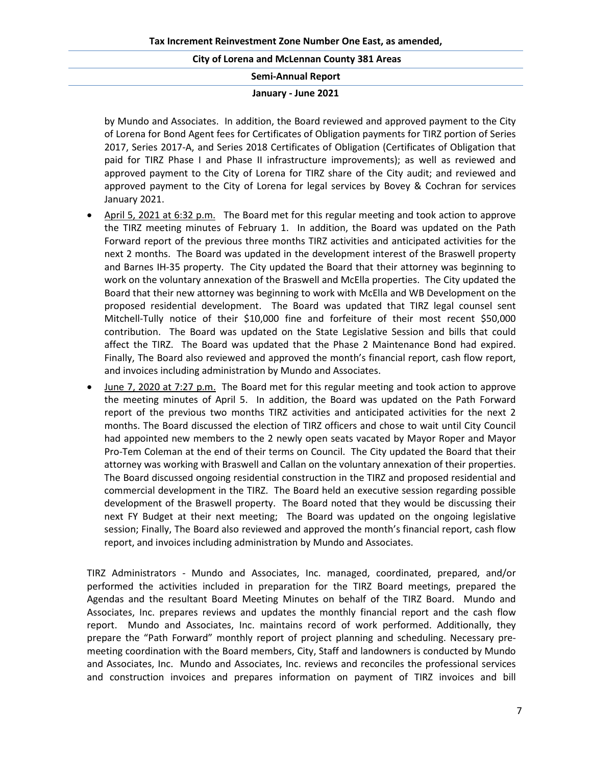#### **Semi-Annual Report**

#### **January - June 2021**

by Mundo and Associates. In addition, the Board reviewed and approved payment to the City of Lorena for Bond Agent fees for Certificates of Obligation payments for TIRZ portion of Series 2017, Series 2017-A, and Series 2018 Certificates of Obligation (Certificates of Obligation that paid for TIRZ Phase I and Phase II infrastructure improvements); as well as reviewed and approved payment to the City of Lorena for TIRZ share of the City audit; and reviewed and approved payment to the City of Lorena for legal services by Bovey & Cochran for services January 2021.

- April 5, 2021 at 6:32 p.m. The Board met for this regular meeting and took action to approve the TIRZ meeting minutes of February 1. In addition, the Board was updated on the Path Forward report of the previous three months TIRZ activities and anticipated activities for the next 2 months. The Board was updated in the development interest of the Braswell property and Barnes IH-35 property. The City updated the Board that their attorney was beginning to work on the voluntary annexation of the Braswell and McElla properties. The City updated the Board that their new attorney was beginning to work with McElla and WB Development on the proposed residential development. The Board was updated that TIRZ legal counsel sent Mitchell-Tully notice of their \$10,000 fine and forfeiture of their most recent \$50,000 contribution. The Board was updated on the State Legislative Session and bills that could affect the TIRZ. The Board was updated that the Phase 2 Maintenance Bond had expired. Finally, The Board also reviewed and approved the month's financial report, cash flow report, and invoices including administration by Mundo and Associates.
- June 7, 2020 at 7:27 p.m. The Board met for this regular meeting and took action to approve the meeting minutes of April 5. In addition, the Board was updated on the Path Forward report of the previous two months TIRZ activities and anticipated activities for the next 2 months. The Board discussed the election of TIRZ officers and chose to wait until City Council had appointed new members to the 2 newly open seats vacated by Mayor Roper and Mayor Pro-Tem Coleman at the end of their terms on Council. The City updated the Board that their attorney was working with Braswell and Callan on the voluntary annexation of their properties. The Board discussed ongoing residential construction in the TIRZ and proposed residential and commercial development in the TIRZ. The Board held an executive session regarding possible development of the Braswell property. The Board noted that they would be discussing their next FY Budget at their next meeting; The Board was updated on the ongoing legislative session; Finally, The Board also reviewed and approved the month's financial report, cash flow report, and invoices including administration by Mundo and Associates.

TIRZ Administrators - Mundo and Associates, Inc. managed, coordinated, prepared, and/or performed the activities included in preparation for the TIRZ Board meetings, prepared the Agendas and the resultant Board Meeting Minutes on behalf of the TIRZ Board. Mundo and Associates, Inc. prepares reviews and updates the monthly financial report and the cash flow report. Mundo and Associates, Inc. maintains record of work performed. Additionally, they prepare the "Path Forward" monthly report of project planning and scheduling. Necessary premeeting coordination with the Board members, City, Staff and landowners is conducted by Mundo and Associates, Inc. Mundo and Associates, Inc. reviews and reconciles the professional services and construction invoices and prepares information on payment of TIRZ invoices and bill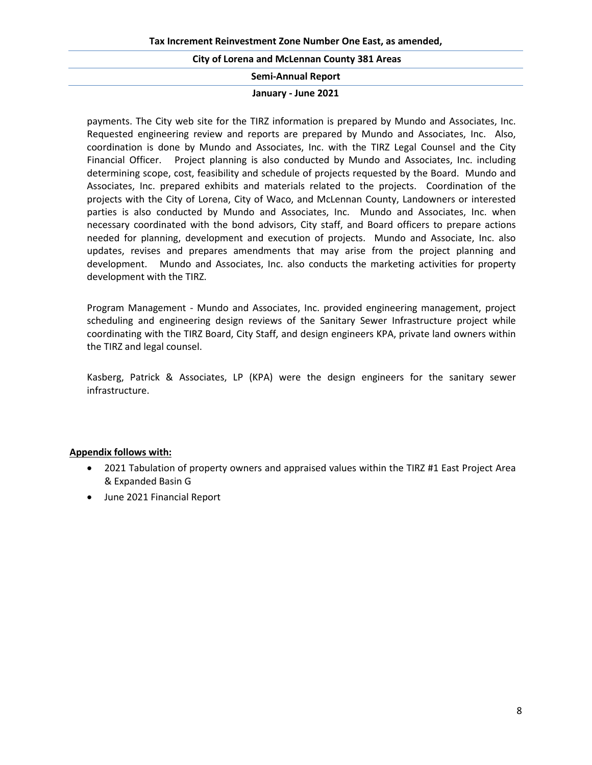**Semi-Annual Report**

#### **January - June 2021**

payments. The City web site for the TIRZ information is prepared by Mundo and Associates, Inc. Requested engineering review and reports are prepared by Mundo and Associates, Inc. Also, coordination is done by Mundo and Associates, Inc. with the TIRZ Legal Counsel and the City Financial Officer. Project planning is also conducted by Mundo and Associates, Inc. including determining scope, cost, feasibility and schedule of projects requested by the Board. Mundo and Associates, Inc. prepared exhibits and materials related to the projects. Coordination of the projects with the City of Lorena, City of Waco, and McLennan County, Landowners or interested parties is also conducted by Mundo and Associates, Inc. Mundo and Associates, Inc. when necessary coordinated with the bond advisors, City staff, and Board officers to prepare actions needed for planning, development and execution of projects. Mundo and Associate, Inc. also updates, revises and prepares amendments that may arise from the project planning and development. Mundo and Associates, Inc. also conducts the marketing activities for property development with the TIRZ.

Program Management - Mundo and Associates, Inc. provided engineering management, project scheduling and engineering design reviews of the Sanitary Sewer Infrastructure project while coordinating with the TIRZ Board, City Staff, and design engineers KPA, private land owners within the TIRZ and legal counsel.

Kasberg, Patrick & Associates, LP (KPA) were the design engineers for the sanitary sewer infrastructure.

### **Appendix follows with:**

- 2021 Tabulation of property owners and appraised values within the TIRZ #1 East Project Area & Expanded Basin G
- June 2021 Financial Report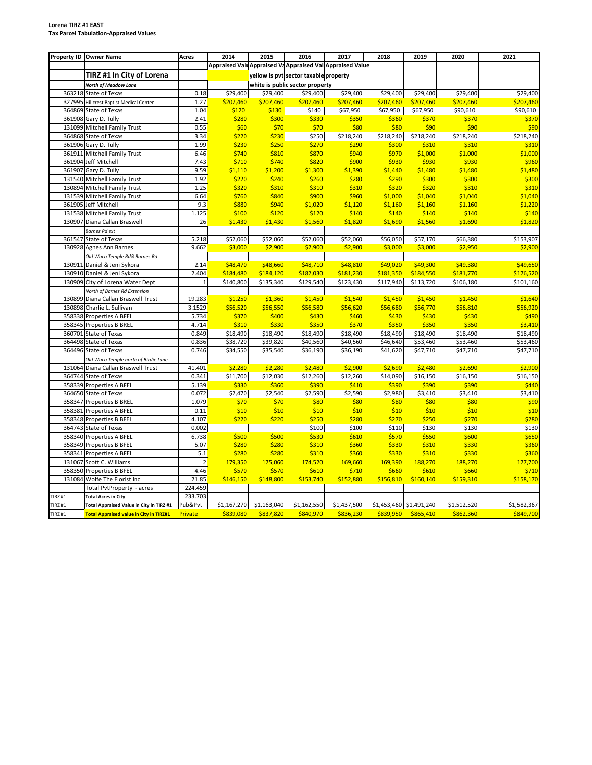#### **Lorena TIRZ #1 EAST Tax Parcel Tabulation-Appraised Values**

|                | Property ID Owner Name                         | <b>Acres</b>   | 2014                                                      | 2015                 | 2016                                  | 2017                 | 2018                    | 2019                 | 2020                 | 2021                 |
|----------------|------------------------------------------------|----------------|-----------------------------------------------------------|----------------------|---------------------------------------|----------------------|-------------------------|----------------------|----------------------|----------------------|
|                |                                                |                | Appraised Valu Appraised Va Appraised Val Appraised Value |                      |                                       |                      |                         |                      |                      |                      |
|                | TIRZ #1 In City of Lorena                      |                |                                                           |                      | yellow is pyt sector taxable property |                      |                         |                      |                      |                      |
|                | North of Meadow Lane                           |                |                                                           |                      | white is public sector property       |                      |                         |                      |                      |                      |
| 363218         | State of Texas                                 | 0.18           | \$29,400                                                  | \$29,400             | \$29,400                              | \$29,400             | \$29,400                | \$29,400             | \$29,400             | \$29,400             |
| 327995         | <b>Hillcrest Baptist Medical Center</b>        | 1.27           | \$207,460                                                 | \$207,460            | \$207,460                             | \$207,460            | \$207,460               | \$207,460            | \$207,460            | \$207,460            |
|                | 364869 State of Texas                          | 1.04           | \$120                                                     | \$130                | \$140                                 | \$67,950             | \$67,950                | \$67,950             | \$90,610             | \$90,610             |
|                | 361908 Gary D. Tully                           | 2.41           | \$280                                                     | \$300                | \$330                                 | \$350                | \$360                   | \$370                | \$370                | \$370                |
|                | 131099 Mitchell Family Trust                   | 0.55           | \$60                                                      | \$70                 | \$70                                  | \$80                 | \$80                    | \$90                 | \$90                 | \$90                 |
| 364868         | <b>State of Texas</b>                          | 3.34           | \$220                                                     | \$230                | \$250                                 | \$218,240            | \$218,240               | \$218,240            | \$218,240            | \$218,240            |
| 361906         | Gary D. Tully                                  | 1.99           | \$230                                                     | \$250                | \$270                                 | \$290                | \$300                   | \$310                | \$310                | \$310                |
| 361911         | <b>Mitchell Family Trust</b>                   | 6.46           | \$740                                                     | \$810                | \$870                                 | \$940                | \$970                   | \$1,000              | \$1,000              | \$1,000              |
|                | 361904 Jeff Mitchell                           | 7.43           | \$710                                                     | \$740                | \$820                                 | \$900                | \$930                   | \$930                | \$930                | \$960                |
| 361907         | Gary D. Tully                                  | 9.59           | \$1,110                                                   | \$1,200              | \$1,300                               | \$1,390              | \$1,440                 | \$1,480              | \$1,480              | \$1,480              |
|                | 131540 Mitchell Family Trust                   | 1.92           | \$220                                                     | \$240                | \$260                                 | \$280                | \$290                   | \$300                | \$300                | \$300                |
| 130894         | <b>Mitchell Family Trust</b>                   | 1.25           | \$320                                                     | \$310                | \$310                                 | \$310                | \$320                   | \$320                | \$310                | \$310                |
|                | 131539 Mitchell Family Trust                   | 6.64           | \$760                                                     | \$840                | \$900                                 | \$960                | \$1,000                 | \$1,040              | \$1,040              | \$1,040              |
| 361905         | Jeff Mitchell                                  | 9.3            | \$880                                                     | \$940                | \$1,020                               | \$1,120              | \$1,160                 | \$1,160              | \$1,160              | \$1,220              |
|                | 131538 Mitchell Family Trust                   | 1.125          | \$100                                                     | \$120                | \$120                                 | \$140                | \$140                   | \$140                | \$140                | \$140                |
| 130907         | Diana Callan Braswell                          | 26             | \$1,430                                                   | \$1,430              | \$1,560                               | \$1,820              | \$1,690                 | \$1,560              | \$1,690              | \$1,820              |
|                | Barnes Rd ext                                  |                |                                                           |                      |                                       |                      |                         |                      |                      |                      |
| 361547         | State of Texas                                 | 5.218          | \$52,060                                                  | \$52,060             | \$52,060                              | \$52,060             | \$56,050                | \$57,170             | \$66,380             | \$153,907            |
| 130928         | Agnes Ann Barnes                               | 9.662          | \$3,000                                                   | \$2,900              | \$2,900                               | \$2,900              | \$3,000                 | \$3,000              | \$2,950              | \$2,900              |
|                | Old Waco Temple Rd& Barnes Rd                  |                |                                                           |                      |                                       |                      |                         |                      |                      |                      |
|                | 130911 Daniel & Jeni Sykora                    | 2.14           | \$48,470                                                  | \$48,660             | \$48,710                              | \$48,810             | \$49,020                | \$49,300             | \$49,380             | \$49,650             |
|                | 130910 Daniel & Jeni Sykora                    | 2.404          | \$184,480                                                 | \$184,120            | \$182,030                             | \$181,230            | \$181,350               | \$184,550            | \$181,770            | \$176,520            |
| 130909         | City of Lorena Water Dept                      | $\mathbf{1}$   | \$140,800                                                 | \$135,340            | \$129,540                             | \$123,430            | \$117,940               | \$113,720            | \$106,180            | \$101,160            |
|                | North of Barnes Rd Extension                   |                |                                                           |                      |                                       |                      |                         |                      |                      |                      |
| 130899         | Diana Callan Braswell Trust                    | 19.283         | \$1,250                                                   | \$1,360              | \$1,450                               | \$1,540              | \$1,450                 | \$1,450              | \$1,450              | \$1,640              |
| 130898         | Charlie L. Sullivan                            | 3.1529         | \$56,520                                                  | \$56,550             | \$56,580                              | \$56,620             | \$56,680                | \$56,770             | \$56,810             | \$56,920             |
| 358338         | Properties A BFEL                              | 5.734          | \$370<br>\$310                                            | \$400                | \$430                                 | \$460                | \$430                   | \$430<br>\$350       | \$430<br>\$350       | \$490                |
| 360701         | 358345 Properties B BREL                       | 4.714<br>0.849 |                                                           | \$330                | \$350                                 | \$370                | \$350                   |                      |                      | \$3,410              |
|                | State of Texas<br>364498 State of Texas        | 0.836          | \$18,490<br>\$38,720                                      | \$18,490<br>\$39,820 | \$18,490<br>\$40,560                  | \$18,490<br>\$40,560 | \$18,490<br>\$46,640    | \$18,490<br>\$53,460 | \$18,490<br>\$53,460 | \$18,490<br>\$53,460 |
| 364496         | State of Texas                                 | 0.746          | \$34,550                                                  | \$35,540             | \$36,190                              | \$36,190             | \$41,620                | \$47,710             | \$47,710             | \$47,710             |
|                | Old Waco Temple north of Birdie Lane           |                |                                                           |                      |                                       |                      |                         |                      |                      |                      |
|                | 131064 Diana Callan Braswell Trust             | 41.401         | \$2,280                                                   | \$2,280              | \$2,480                               | \$2,900              | \$2,690                 | \$2,480              | \$2,690              | \$2,900              |
|                | 364744 State of Texas                          | 0.341          | \$11,700                                                  | \$12,030             | \$12,260                              | \$12,260             | \$14,090                | \$16,150             | \$16,150             | \$16,150             |
| 358339         | Properties A BFEL                              | 5.139          | \$330                                                     | \$360                | \$390                                 | \$410                | \$390                   | \$390                | \$390                | \$440                |
| 364650         | State of Texas                                 | 0.072          | \$2,470                                                   | \$2,540              | \$2,590                               | \$2,590              | \$2,980                 | \$3,410              | \$3,410              | \$3,410              |
| 358347         | Properties B BREL                              | 1.079          | \$70                                                      | \$70                 | \$80                                  | \$80                 | \$80                    | \$80                 | \$80                 | \$90                 |
|                | 358381 Properties A BFEL                       | 0.11           | \$10                                                      | \$10                 | \$10                                  | \$10                 | \$10                    | \$10                 | \$10                 | \$10                 |
|                | 358348 Properties B BFEL                       | 4.107          | \$220                                                     | \$220                | \$250                                 | \$280                | \$270                   | \$250                | \$270                | \$280                |
|                | 364743 State of Texas                          | 0.002          |                                                           |                      | \$100                                 | \$100                | \$110                   | \$130                | \$130                | \$130                |
|                | 358340 Properties A BFEL                       | 6.738          | \$500                                                     | \$500                | \$530                                 | \$610                | \$570                   | \$550                | \$600                | \$650                |
|                | 358349 Properties B BFEL                       | 5.07           | \$280                                                     | \$280                | \$310                                 | \$360                | \$330                   | \$310                | \$330                | \$360                |
| 358341         | Properties A BFEL                              | 5.1            | \$280                                                     | \$280                | \$310                                 | \$360                | \$330                   | \$310                | \$330                | \$360                |
| 131067         | Scott C. Williams                              | $\overline{2}$ | 179,350                                                   | 175,060              | 174,520                               | 169,660              | 169,390                 | 188,270              | 188,270              | 177,700              |
|                | 358350 Properties B BFEL                       | 4.46           | \$570                                                     | \$570                | \$610                                 | \$710                | \$660                   | \$610                | \$660                | \$710                |
|                | 131084 Wolfe The Florist Inc                   | 21.85          | \$146,150                                                 | \$148,800            | \$153,740                             | \$152,880            | \$156,810               | \$160,140            | \$159,310            | \$158,170            |
|                | Total PvtProperty - acres                      | 224.459        |                                                           |                      |                                       |                      |                         |                      |                      |                      |
| <b>TIRZ#1</b>  | <b>Total Acres in City</b>                     | 233.703        |                                                           |                      |                                       |                      |                         |                      |                      |                      |
| <b>TIRZ #1</b> | Total Appraised Value in City in TIRZ #1       | Pub&Pvt        | \$1,167,270                                               | \$1,163,040          | \$1,162,550                           | \$1,437,500          | \$1,453,460 \$1,491,240 |                      | \$1,512,520          | \$1,582,367          |
| <b>TIRZ #1</b> | <b>Total Appraised value in City in TIRZ#1</b> | Private        | \$839,080                                                 | \$837,820            | \$840,970                             | \$836,230            | \$839,950               | \$865,410            | \$862,360            | \$849,700            |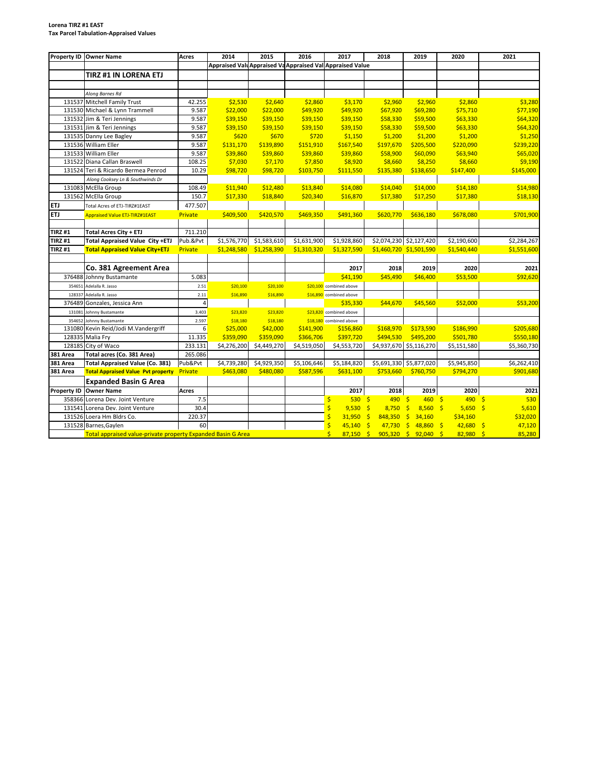#### **Lorena TIRZ #1 EAST Tax Parcel Tabulation-Appraised Values**

| <b>Property ID</b> | <b>Owner Name</b>                                            | <b>Acres</b>   | 2014        | 2015        | 2016        | 2017                                                      | 2018                    | 2019                              | 2020          | 2021                        |
|--------------------|--------------------------------------------------------------|----------------|-------------|-------------|-------------|-----------------------------------------------------------|-------------------------|-----------------------------------|---------------|-----------------------------|
|                    |                                                              |                |             |             |             | Appraised Valu Appraised Va Appraised Val Appraised Value |                         |                                   |               |                             |
|                    | TIRZ #1 IN LORENA ETJ                                        |                |             |             |             |                                                           |                         |                                   |               |                             |
|                    |                                                              |                |             |             |             |                                                           |                         |                                   |               |                             |
|                    | Along Barnes Rd                                              |                |             |             |             |                                                           |                         |                                   |               |                             |
|                    | 131537 Mitchell Family Trust                                 | 42.255         | \$2,530     | \$2,640     | \$2,860     | \$3,170                                                   | \$2,960                 | \$2,960                           | \$2,860       | \$3,280                     |
|                    | 131530 Michael & Lynn Trammell                               | 9.587          | \$22,000    | \$22,000    | \$49,920    | \$49,920                                                  | \$67,920                | \$69,280                          | \$75,710      | \$77,190                    |
|                    | 131532 Jim & Teri Jennings                                   | 9.587          | \$39,150    | \$39,150    | \$39,150    | \$39,150                                                  | \$58,330                | \$59,500                          | \$63,330      | \$64,320                    |
|                    | 131531 Jim & Teri Jennings                                   | 9.587          | \$39,150    | \$39,150    | \$39,150    | \$39,150                                                  | \$58,330                | \$59,500                          | \$63,330      | \$64,320                    |
|                    | 131535 Danny Lee Bagley                                      | 9.587          | \$620       | \$670       | \$720       | \$1,150                                                   | \$1,200                 | \$1,200                           | \$1,200       | \$1,250                     |
|                    | 131536 William Eller                                         | 9.587          | \$131,170   | \$139,890   | \$151,910   | \$167,540                                                 | \$197,670               | \$205,500                         | \$220,090     | \$239,220                   |
|                    | 131533 William Eller                                         | 9.587          | \$39,860    | \$39,860    | \$39,860    | \$39,860                                                  | \$58,900                | \$60,090                          | \$63,940      | \$65,020                    |
| 131522             | Diana Callan Braswell                                        | 108.25         | \$7,030     | \$7,170     | \$7,850     | \$8,920                                                   | \$8,660                 | \$8,250                           | \$8,660       | \$9,190                     |
| 131524             | Teri & Ricardo Bermea Penrod                                 | 10.29          | \$98,720    | \$98,720    | \$103,750   | \$111,550                                                 | \$135,380               | \$138,650                         | \$147,400     | \$145,000                   |
|                    | Along Cooksey Ln & Southwinds Dr                             |                |             |             |             |                                                           |                         |                                   |               |                             |
|                    | 131083 McElla Group                                          | 108.49         | \$11,940    | \$12,480    | \$13,840    | \$14,080                                                  | \$14,040                | \$14,000                          | \$14,180      | \$14,980                    |
|                    | 131562 McElla Group                                          | 150.7          | \$17,330    | \$18,840    | \$20,340    | \$16,870                                                  | \$17,380                | \$17,250                          | \$17,380      | \$18,130                    |
| ETJ                | Total Acres of ETJ-TIRZ#1EAST                                | 477.507        |             |             |             |                                                           |                         |                                   |               |                             |
| ETJ                | <b>Appraised Value ETJ-TIRZ#1EAST</b>                        | Private        | \$409,500   | \$420,570   | \$469,350   | \$491,360                                                 | \$620,770               | \$636,180                         | \$678,080     | \$701,900                   |
|                    |                                                              |                |             |             |             |                                                           |                         |                                   |               |                             |
| <b>TIRZ#1</b>      | <b>Total Acres City + ETJ</b>                                | 711.210        |             |             |             |                                                           |                         |                                   |               |                             |
| <b>TIRZ#1</b>      | Total Appraised Value City +ETJ                              | Pub.&Pvt       | \$1,576,770 | \$1,583,610 | \$1,631,900 | \$1,928,860                                               |                         | \$2,074,230 \$2,127,420           | \$2,190,600   | \$2,284,267                 |
| TIRZ #1            | <b>Total Appraised Value City+ETJ</b>                        | Private        | \$1,248,580 | \$1,258,390 | \$1,310,320 | \$1,327,590                                               |                         | \$1,460,720 \$1,501,590           | \$1,540,440   | \$1,551,600                 |
|                    |                                                              |                |             |             |             |                                                           |                         |                                   |               |                             |
|                    | Co. 381 Agreement Area                                       |                |             |             |             | 2017                                                      | 2018                    | 2019                              | 2020          | 2021                        |
| 376488             | Johnny Bustamante                                            | 5.083          |             |             |             | \$41.190                                                  | \$45,490                | \$46,400                          | \$53,500      | \$92,620                    |
| 354651             | Adelalla R. Jasso                                            | 2.51           | \$20,100    | \$20,100    |             | \$20,100 combined above                                   |                         |                                   |               |                             |
| 128337             | Adelalla R. Jasso                                            | 2.11           | \$16,890    | \$16,890    |             | \$16,890 combined above                                   |                         |                                   |               |                             |
| 376489             | Gonzales, Jessica Ann                                        | $\overline{4}$ |             |             |             | \$35.330                                                  | \$44,670                | \$45,560                          | \$52,000      | \$53,200                    |
| 131081             | Johnny Bustamante                                            | 3.403          | \$23,820    | \$23,820    |             | \$23,820 combined above                                   |                         |                                   |               |                             |
| 354652             | Johnny Bustamante                                            | 2.597          | \$18,180    | \$18,180    |             | \$18,180 combined above                                   |                         |                                   |               |                             |
| 131080             | Kevin Reid/Jodi M.Vandergriff                                | 6              | \$25,000    | \$42,000    | \$141,900   | \$156,860                                                 | \$168,970               | \$173,590                         | \$186,990     | \$205,680                   |
|                    | 128335 Malia Fry                                             | 11.335         | \$359,090   | \$359,090   | \$366,706   | \$397,720                                                 | \$494,530               | \$495,200                         | \$501,780     | \$550,180                   |
|                    | 128185 City of Waco                                          | 233.131        | \$4,276,200 | \$4,449,270 | \$4,519,050 | \$4,553,720                                               |                         | \$4,937,670 \$5,116,270           | \$5,151,580   | \$5,360,730                 |
| 381 Area           | Total acres (Co. 381 Area)                                   | 265.086        |             |             |             |                                                           |                         |                                   |               |                             |
| 381 Area           | <b>Total Appraised Value (Co. 381)</b>                       | Pub&Pvt        | \$4,739,280 | \$4,929,350 | \$5,106,646 | \$5,184,820                                               |                         | \$5,691,330 \$5,877,020           | \$5,945,850   | \$6,262,410                 |
| 381 Area           | <b>Total Appraised Value Pvt property</b>                    | <b>Private</b> | \$463,080   | \$480,080   | \$587,596   | \$631,100                                                 | \$753,660               | \$760,750                         | \$794,270     | \$901,680                   |
|                    | <b>Expanded Basin G Area</b>                                 |                |             |             |             |                                                           |                         |                                   |               |                             |
| <b>Property ID</b> | <b>Owner Name</b>                                            | Acres          |             |             |             | 2017                                                      | 2018                    | 2019                              | 2020          | 2021                        |
|                    | 358366 Lorena Dev. Joint Venture                             | 7.5            |             |             |             | $\mathsf{\hat{S}}$<br>530                                 | $\mathsf{S}$<br>490     | $\mathsf{S}$<br>460S              | 490S          | 530                         |
| 131541             | Lorena Dev. Joint Venture                                    | 30.4           |             |             |             | \$<br>9,530                                               | $\mathsf{S}$<br>8,750   | $\ddot{\mathsf{s}}$<br>$8,560$ \$ | 5,650         | $\dot{\mathsf{S}}$<br>5,610 |
| 131526             | Loera Hm Bldrs Co.                                           | 220.37         |             |             |             | Ś<br>31,950                                               | $\mathsf{S}$<br>848,350 | \$<br>34,160                      | \$34,160      | \$32,020                    |
|                    | 131528 Barnes, Gaylen                                        | 60             |             |             |             | \$<br>45,140                                              | $\mathsf{S}$<br>47,730  | \$<br>48,860                      | −\$<br>42,680 | 47,120<br>Ŝ                 |
|                    | Total appraised value-private property Expanded Basin G Area |                |             |             |             | $\overline{\mathsf{S}}$<br>87,150                         | $\mathsf{S}$            | $905,320$ \$ 92,040 \$            | $82,980$ \$   | 85,280                      |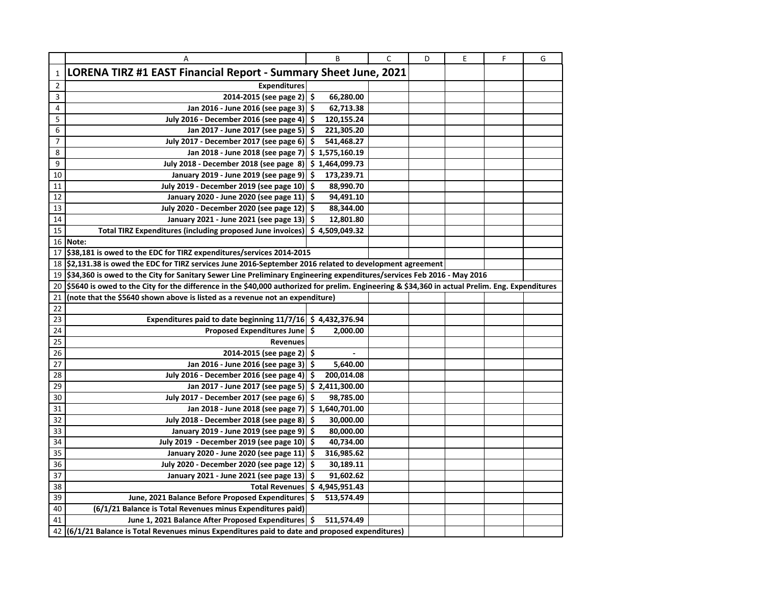|                | Α                                                                                                                                               |     | B              | $\mathsf{C}$ | D | E | F | G |
|----------------|-------------------------------------------------------------------------------------------------------------------------------------------------|-----|----------------|--------------|---|---|---|---|
| $\mathbf{1}$   | LORENA TIRZ #1 EAST Financial Report - Summary Sheet June, 2021                                                                                 |     |                |              |   |   |   |   |
| $\overline{2}$ | <b>Expenditures</b>                                                                                                                             |     |                |              |   |   |   |   |
| 3              | 2014-2015 (see page 2) $\vert$ \$                                                                                                               |     | 66,280.00      |              |   |   |   |   |
| 4              | Jan 2016 - June 2016 (see page 3)                                                                                                               | \$  | 62,713.38      |              |   |   |   |   |
| 5              | July 2016 - December 2016 (see page 4)                                                                                                          | -\$ | 120,155.24     |              |   |   |   |   |
| 6              | Jan 2017 - June 2017 (see page 5)                                                                                                               | \$  | 221,305.20     |              |   |   |   |   |
| $\overline{7}$ | July 2017 - December 2017 (see page 6)                                                                                                          | \$  | 541,468.27     |              |   |   |   |   |
| 8              | Jan 2018 - June 2018 (see page 7)                                                                                                               |     | \$1,575,160.19 |              |   |   |   |   |
| 9              | July 2018 - December 2018 (see page 8)                                                                                                          |     | \$1,464,099.73 |              |   |   |   |   |
| 10             | January 2019 - June 2019 (see page 9)                                                                                                           | \$  | 173,239.71     |              |   |   |   |   |
| 11             | July 2019 - December 2019 (see page 10)                                                                                                         | \$  | 88,990.70      |              |   |   |   |   |
| 12             | January 2020 - June 2020 (see page 11)                                                                                                          | \$. | 94,491.10      |              |   |   |   |   |
| 13             | July 2020 - December 2020 (see page 12)                                                                                                         | \$, | 88,344.00      |              |   |   |   |   |
| 14             | January 2021 - June 2021 (see page 13)                                                                                                          | \$. | 12,801.80      |              |   |   |   |   |
| 15             | Total TIRZ Expenditures (including proposed June invoices) \$4,509,049.32                                                                       |     |                |              |   |   |   |   |
| 16             | Note:                                                                                                                                           |     |                |              |   |   |   |   |
| 17             | \$38,181 is owed to the EDC for TIRZ expenditures/services 2014-2015                                                                            |     |                |              |   |   |   |   |
| 18             | \$2,131.38 is owed the EDC for TIRZ services June 2016-September 2016 related to development agreement                                          |     |                |              |   |   |   |   |
| 19             | \$34,360 is owed to the City for Sanitary Sewer Line Preliminary Engineering expenditures/services Feb 2016 - May 2016                          |     |                |              |   |   |   |   |
| 20             | \$5640 is owed to the City for the difference in the \$40,000 authorized for prelim. Engineering & \$34,360 in actual Prelim. Eng. Expenditures |     |                |              |   |   |   |   |
| 21             | (note that the \$5640 shown above is listed as a revenue not an expenditure)                                                                    |     |                |              |   |   |   |   |
| 22             |                                                                                                                                                 |     |                |              |   |   |   |   |
| 23             | Expenditures paid to date beginning $11/7/16$ \$ 4,432,376.94                                                                                   |     |                |              |   |   |   |   |
| 24             | Proposed Expenditures June                                                                                                                      | -\$ | 2,000.00       |              |   |   |   |   |
| 25             | <b>Revenues</b>                                                                                                                                 |     |                |              |   |   |   |   |
| 26             | 2014-2015 (see page 2)                                                                                                                          | .\$ | $\blacksquare$ |              |   |   |   |   |
| 27             | Jan 2016 - June 2016 (see page 3)                                                                                                               | \$  | 5,640.00       |              |   |   |   |   |
| 28             | July 2016 - December 2016 (see page 4)                                                                                                          | \$  | 200,014.08     |              |   |   |   |   |
| 29             | Jan 2017 - June 2017 (see page 5)                                                                                                               |     | \$2,411,300.00 |              |   |   |   |   |
| 30             | July 2017 - December 2017 (see page 6)                                                                                                          | \$  | 98,785.00      |              |   |   |   |   |
| 31             | Jan 2018 - June 2018 (see page 7)                                                                                                               |     | \$1,640,701.00 |              |   |   |   |   |
| 32             | July 2018 - December 2018 (see page 8)                                                                                                          | \$  | 30,000.00      |              |   |   |   |   |
| 33             | January 2019 - June 2019 (see page 9)                                                                                                           | .s  | 80,000.00      |              |   |   |   |   |
| 34             | July 2019 - December 2019 (see page 10)                                                                                                         | \$, | 40,734.00      |              |   |   |   |   |
| 35             | January 2020 - June 2020 (see page 11)                                                                                                          | \$  | 316,985.62     |              |   |   |   |   |
| 36             | July 2020 - December 2020 (see page 12)                                                                                                         | \$. | 30,189.11      |              |   |   |   |   |
| 37             | January 2021 - June 2021 (see page 13)                                                                                                          | \$  | 91,602.62      |              |   |   |   |   |
| 38             | <b>Total Revenues</b>                                                                                                                           |     | \$4,945,951.43 |              |   |   |   |   |
| 39             | June, 2021 Balance Before Proposed Expenditures                                                                                                 | \$  | 513,574.49     |              |   |   |   |   |
| 40             | (6/1/21 Balance is Total Revenues minus Expenditures paid)                                                                                      |     |                |              |   |   |   |   |
| 41             | June 1, 2021 Balance After Proposed Expenditures                                                                                                | \$  | 511,574.49     |              |   |   |   |   |
| 42             | (6/1/21 Balance is Total Revenues minus Expenditures paid to date and proposed expenditures)                                                    |     |                |              |   |   |   |   |